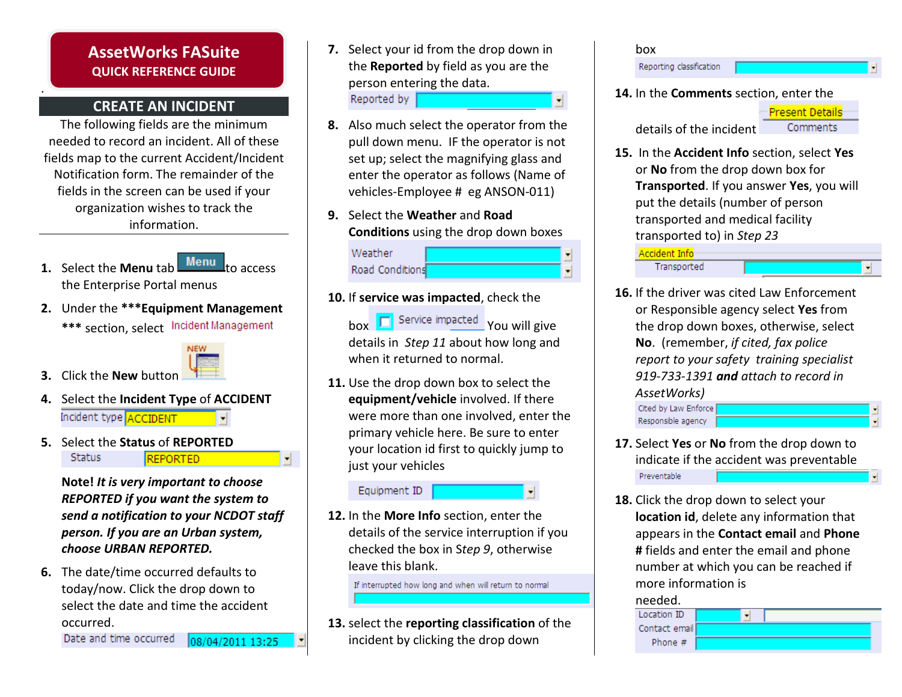# AssetWorks FASuite QUICK REFERENCE GUIDE

## CREATE AN INCIDENT

.

The following fields are the minimum needed to record an incident. All of these fields map to the current Accident/Incident Notification form. The remainder of the fields in the screen can be used if your organization wishes to track the information.

- **1.** Select the **Menu** tab  $Menu$  to access the Enterprise Portal menus
- 2. Under the \*\*\*Equipment Management\*\*\* section, select Incident Management



▼

- **3.** Click the **New** button
- **4.** Select the **Incident Type** of **ACCIDENT** Incident type **ACCIDENT**
- **5.** Select the **Status** of **REPORTED Status REPORTED**

Note! It is very important to choose REPORTED if you want the system to send a notification to your NCDOT staff person. If you are an Urban system, choose URBAN REPORTED.

6. The date/time occurred defaults to today/now. Click the drop down to select the date and time the accidentoccurred.

Date and time occurred 08/04/2011 13:25

- 7. Select your id from the drop down inthe **Reported** by field as you are the person entering the data.Reported by  $\overline{\phantom{a}}$
- 8. Also much select the operator from the pull down menu. IF the operator is not set up; select the magnifying glass and enter the operator as follows (Name ofvehicles-Employee # eg ANSON-011)
- **9.** Select the **Weather** and **Road Conditions** using the drop down boxes

Weather Road Conditions

- **10.** If **service was impacted**, check the
	- box  $\boxed{\Box}$  Service impacted You will give details in *Step 11* about how long and when it returned to normal.
- **11.** Use the drop down box to select the equipment/vehicle involved. If there were more than one involved, enter theprimary vehicle here. Be sure to enteryour location id first to quickly jump tojust your vehicles

Equipment ID

**12.** In the **More Info** section, enter the details of the service interruption if youchecked the box in Step 9, otherwiseleave this blank.

If interrupted how long and when will return to normal

**13.** select the **reporting classification** of the incident by clicking the drop down



- **17.** Select **Yes** or **No** from the drop down to indicate if the accident was preventablePreventable
- **18.** Click the drop down to select your **location id**, delete any information that appears in the Contact email and Phone# fields and enter the email and phone number at which you can be reached ifmore information is



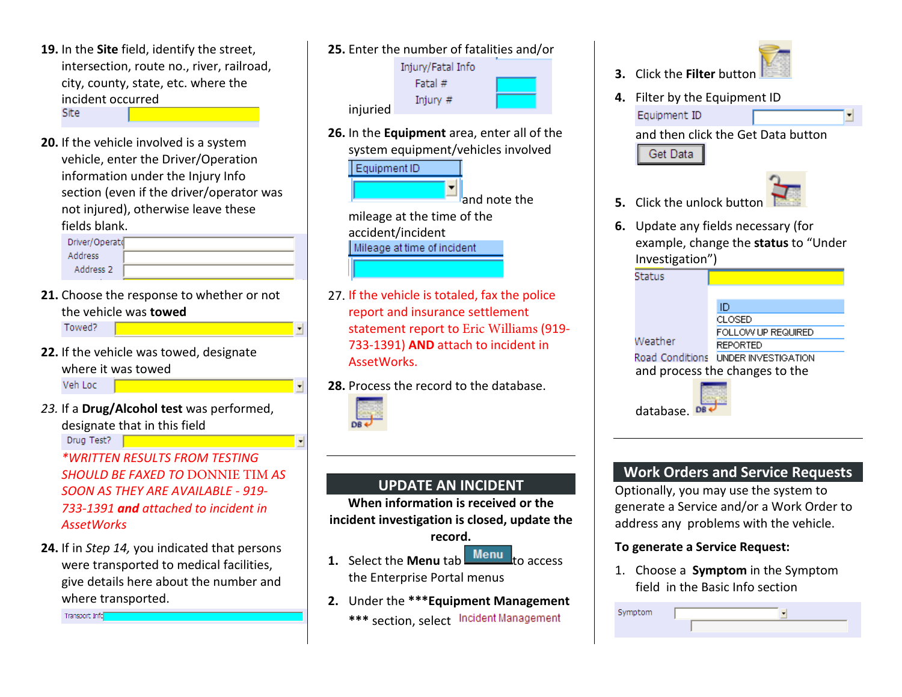- **19.** In the **Site** field, identify the street, intersection, route no., river, railroad,city, county, state, etc. where theincident occurredSite
- **20.** If the vehicle involved is a system vehicle, enter the Driver/Operationinformation under the Injury Info section (even if the driver/operator wasnot injured), otherwise leave thesefields blank.

| Driver/Operato |  |
|----------------|--|
| Address        |  |
| Address 2      |  |

- **21.** Choose the response to whether or not the vehicle was towedTowed?
- **22.** If the vehicle was towed, designate where it was towed

Veh Loc

23. If a Drug/Alcohol test was performed, designate that in this field

Drug Test?

\*WRITTEN RESULTS FROM TESTINGSHOULD BE FAXED TO DONNIE TIM AS<br>SOON AS THEY ARE AVAILABLE - 010 SOON AS THEY ARE AVAILABLE - 919-733-1391 **and** attached to incident in **AssetWorks** 

**24.** If in S*tep 14,* you indicated that persons were transported to medical facilities, give details here about the number andwhere transported.

Transport Info



**26.** In the **Equipment** area, enter all of the system equipment/vehicles involved

Equipment ID

and note the mileage at the time of the accident/incident Mileage at time of incident

- 27. If the vehicle is totaled, fax the policereport and insurance settlement statement report to Eric Williams (919-733-1391) AND attach to incident in AssetWorks.
- **28.** Process the record to the database.



 $\blacksquare$ 

H

# UPDATE AN INCIDENT

 When information is received or the incident investigation is closed, update the

#### record.

- **1.** Select the **Menu** tab  $Menu$ <sub>to access</sub> the Enterprise Portal menus
- 2. Under the \*\*\*Equipment Management\*\*\* section, select Incident Management



- **3.** Click the **Filter** button
- 4. Filter by the Equipment IDEquipment ID

and then click the Get Data button Get Data

5. Click the unlock button

6. Update any fields necessary (forexample, change the status to "Under Investigation")

**Status** 

Weather



and process the changes to the



# Work Orders and Service Requests

Optionally, you may use the system to generate a Service and/or a Work Order to address any problems with the vehicle.

#### To generate a Service Request:

1. Choose a Symptom in the Symptomfield in the Basic Info section

| Symptom |  |
|---------|--|
|         |  |